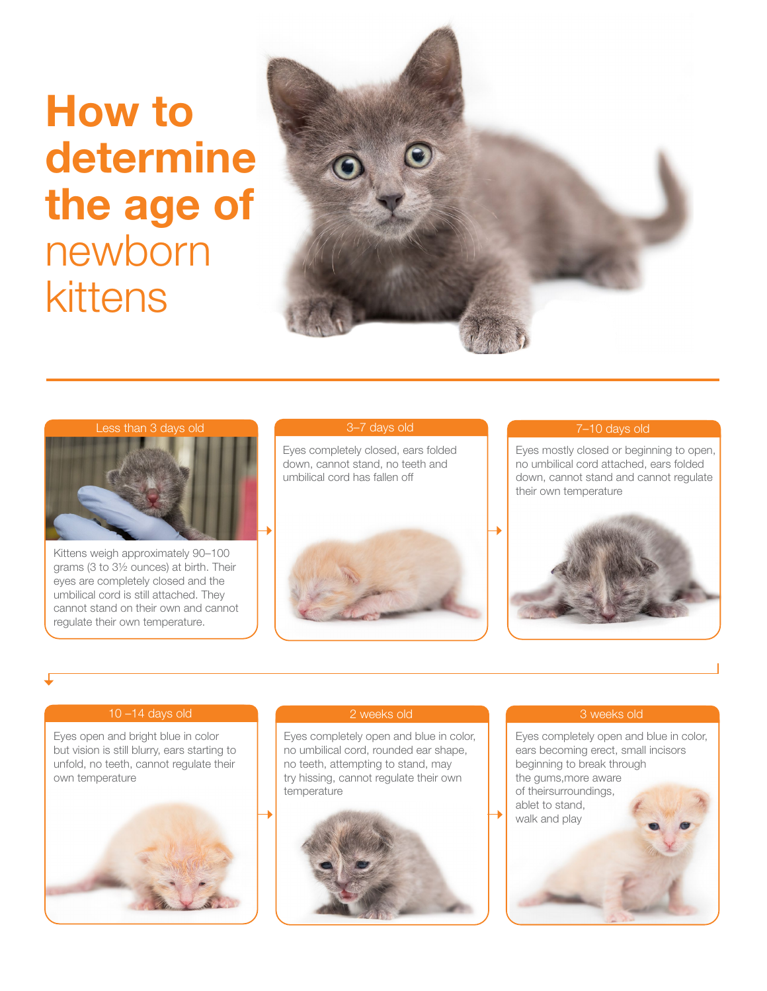# How to determine the age of newborn kittens





Kittens weigh approximately 90–100 grams (3 to 3½ ounces) at birth. Their eyes are completely closed and the umbilical cord is still attached. They cannot stand on their own and cannot regulate their own temperature.

#### 3–7 days old

Eyes completely closed, ears folded down, cannot stand, no teeth and umbilical cord has fallen off



## 7–10 days old

Eyes mostly closed or beginning to open, no umbilical cord attached, ears folded down, cannot stand and cannot regulate their own temperature



### 10 –14 days old

Eyes open and bright blue in color but vision is still blurry, ears starting to unfold, no teeth, cannot regulate their own temperature



### 2 weeks old

Eyes completely open and blue in color, no umbilical cord, rounded ear shape, no teeth, attempting to stand, may try hissing, cannot regulate their own temperature



### 3 weeks old

Eyes completely open and blue in color, ears becoming erect, small incisors beginning to break through the gums,more aware of theirsurroundings, ablet to stand, walk and play